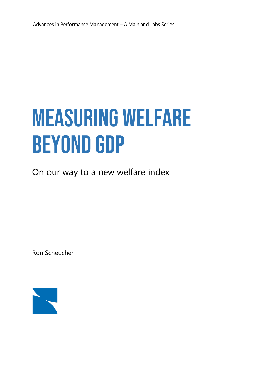# **MEASURING WELFARE BEYOND GDP**

On our way to a new welfare index

Ron Scheucher

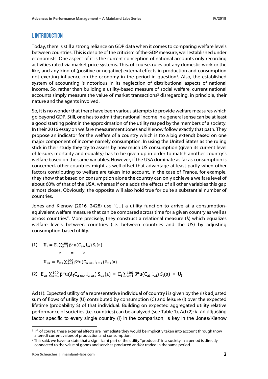# **I. INTRODUCTION**

Today, there is still a strong reliance on GDP data when it comes to comparing welfare levels between countries. This is despite of the criticism of the GDP measure, well established under economists. One aspect of it is the current conception of national accounts only recording activities rated via market price systems. This, of course, rules out any domestic work or the like, and any kind of (positive or negative) external effects in production and consumption not exerting influence on the economy in the period in question<sup>1</sup>. Also, the established system of accounting is notorious in its neglection of distributional aspects of national income. So, rather than building a utility-based measure of social welfare, current national accounts simply measure the value of market transactions<sup>2</sup> disregarding, in principle, their nature and the agents involved.

So, it is no wonder that there have been various attempts to provide welfare measures which go beyond GDP. Still, one has to admit that national income in a general sense can be at least a good starting point in the approximation of the utility reaped by the members of a society. In their 2016 essay on welfare measurement Jones and Klenow follow exactly that path. They propose an indicator for the welfare of a country which is (to a big extend) based on one major component of income namely consumption. In using the United States as the ruling stick in their study they try to assess by how much US consumption (given its current level of leisure, mortality and equality) has to be given up in order to match another country´s welfare based on the same variables. However, if the USA dominate as far as consumption is concerned, other countries might as well offset that advantage at least partly when other factors contributing to welfare are taken into account. In the case of France, for example, they show that based on consumption alone the country can only achieve a welfare level of about 60% of that of the USA, whereas if one adds the effects of all other variables this gap almost closes. Obviously, the opposite will also hold true for quite a substantial number of countries.

Jones and Klenow (2016, 2428) use "(…) a utility function to arrive at a consumptionequivalent welfare measure that can be compared across time for a given country as well as across countries". More precisely, they construct a relational measure  $(\lambda)$  which equalizes welfare levels between countries (i.e. between countries and the US) by adjusting consumption-based utility.

- (1)  $\mathbf{U_i} = \mathrm{E_i} \sum_{a=1}^{100} \beta^a u(C_{ai}, l_{ai}) S_i(a)$  $U_{us} = E_{us} \sum_{a=1}^{100} \beta^a u(C_{aus}, l_{aus}) S_{us}(a)$  $\wedge$  $=$   $\sim$
- (2)  $E_{us} \sum_{a=1}^{100} \beta^a u(\lambda_i C_{aus}, I_{aus}) S_{us}(a) = E_i \sum_{a=1}^{100} \beta^a u(C_{ai}, I_{ai}) S_i(a) =$

Ad (1): Expected utility of a representative individual of country i is given by the risk adjusted sum of flows of utility (U) contributed by consumption (C) and leisure (l) over the expected lifetime (probability S) of that individual. Building on expected aggregated utility relative performance of societies (i.e. countries) can be analyzed (see Table 1). Ad (2): λ, an adjusting factor specific to every single country (i) in the comparison, is key in the Jones/Klenow

<sup>1</sup> If, of course, these external effects are immediate they would be implicitly taken into account through (now altered) current values of production and consumption.

 $2$  This said, we have to state that a significant part of the utility "produced" in a society in a period is directly connected to the value of goods and services produced and/or traded in the same period.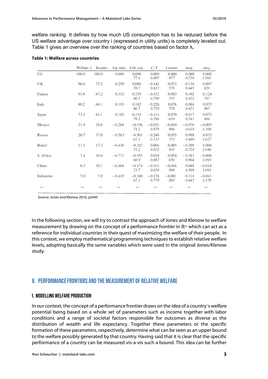welfare ranking. It defines by how much US consumption has to be reduced before the US welfare advantage over country i (expressed in utility units) is completely leveled out. Table 1 gives an overview over the ranking of countries based on factor  $\lambda_i$ .

|               | Welfare $\lambda$ | Income | log ratio | Life exp.        | C/Y               | Leisure         | ineq.             | ineq.             |
|---------------|-------------------|--------|-----------|------------------|-------------------|-----------------|-------------------|-------------------|
| <b>US</b>     | 100.0             | 100.0  | 0.000     | 0.000<br>77.4    | 0.000<br>0.897    | 0.000<br>877    | 0.000<br>0.538    | 0.000<br>1,091    |
| UK            | 96.6              | 75.2   | 0.250     | 0.086<br>78.7    | $-0.143$<br>0.823 | 0.073<br>579    | 0.136<br>0.445    | 0.097<br>826      |
| France        | 91.8              | 67.2   | 0.312     | 0.155<br>80. I   | $-0.152$<br>0.790 | 0.083<br>535    | 0.102<br>0.422    | 0.124<br>747      |
| <b>Italy</b>  | 80.2              | 66.1   | 0.193     | 0.182<br>80.7    | $-0.228$<br>0.720 | 0.078<br>578    | 0.086<br>0.421    | 0.075<br>905      |
| Spain         | 73.3              | 61.1   | 0.182     | 0.133<br>79.1    | $-0.111$<br>0.786 | 0.070<br>619    | 0.017<br>0.541    | 0.073<br>904      |
| Mexico        | 21.9              | 28.6   | $-0.268$  | $-0.156$<br>74.2 | $-0.021$<br>0.879 | $-0.010$<br>906 | $-0.076$<br>0.634 | $-0.005$<br>1,100 |
| Russia        | 20.7              | 37.0   | $-0.583$  | $-0.501$<br>67.1 | $-0.248$<br>0.733 | 0.035<br>753    | 0.098<br>0.489    | 0.032<br>1,027    |
| <b>Brazil</b> | 11.1              | 17.2   | $-0.436$  | $-0.242$<br>71.2 | 0.004<br>0.872    | 0.005<br>831    | $-0.209$<br>0.724 | 0.006<br>1,046    |
| S. Africa     | 7.4               | 16.0   | $-0.771$  | $-0.555$<br>60.9 | 0.018<br>0.887    | 0.054<br>650    | $-0.283$<br>0.864 | $-0.006$<br>1,093 |
| China         | 6.3               | 10.1   | $-0.468$  | $-0.174$<br>71.7 | $-0.311$<br>0.658 | $-0.016$<br>888 | 0.048<br>0.508    | $-0.014$<br>1,093 |
| Indonesia     | 5.0               | 7.8    | $-0.445$  | $-0.340$<br>67.2 | $-0.178$<br>0.779 | $-0.001$<br>883 | 0.114<br>0.445    | $-0.041$<br>1,178 |
|               |                   |        |           |                  |                   |                 |                   |                   |

#### **Table 1: Welfare across countries**

Source: Jones and Klenow 2016, p2445

In the following section, we will try to contrast the approach of Jones and Klenow to welfare measurement by drawing on the concept of a performance frontier in ℝ<sup>n,</sup> which can act as a reference for individual countries in their quest of maximizing the welfare of their people. In this context, we employ mathematical programming techniques to establish relative welfare levels, adopting basically the same variables which were used in the original Jones/Klenow study.

# **II. PERFORMANCE FRONTIERS AND THE MEASUREMENT OF RELATIVE WELFARE**

#### **1. MODELLING WELFARE PRODUCTION**

In our context, the concept of a performance frontier draws on the idea of a country´s welfare potential being based on a whole set of parameters such as income together with labor conditions and a range of societal factors responsible for outcomes as diverse as the distribution of wealth and life expectancy. Together these parameters or the specific formation of these parameters, respectively, determine what can be seen as an upper bound to the welfare possibly generated by that country. Having said that it is clear that the specific performance of a country can be measured vis-a-vis such a bound. This idea can be further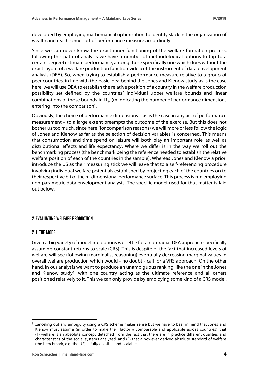developed by employing mathematical optimization to identify slack in the organization of wealth and reach some sort of performance measure accordingly.

Since we can never know the exact inner functioning of the welfare formation process, following this path of analysis we have a number of methodological options to (up to a certain degree) estimate performance, among those specifically one which does without the exact layout of a welfare production function videlicet the instrument of data envelopment analysis (DEA). So, when trying to establish a performance measure relative to a group of peer countries, in line with the basic idea behind the Jones and Klenow study as is the case here, we will use DEA to establish the relative position of a country in the welfare production possibility set defined by the countries´ individual upper welfare bounds and linear combinations of those bounds in  $\mathbb{R}^{\text{m}}_{+}$  (m indicating the number of performance dimensions entering into the comparison).

Obviously, the choice of performance dimensions – as is the case in any act of performance measurement – to a large extent preempts the outcome of the exercise. But this does not bother us too much, since here (for comparison reasons) we will more or less follow the logic of Jones and Klenow as far as the selection of decision variables is concerned. This means that consumption and time spend on leisure will both play an important role, as well as distributional effects and life expectancy. Where we differ is in the way we roll out the benchmarking process (the benchmark being the reference needed to establish the relative welfare position of each of the countries in the sample). Whereas Jones and Klenow a priori introduce the US as their measuring stick we will leave that to a self-referencing procedure involving individual welfare potentials established by projecting each of the countries on to their respective bit of the m-dimensional performance surface. This process is run employing non-parametric data envelopment analysis. The specific model used for that matter is laid out below.

## **2. EVALUATING WELFARE PRODUCTION**

#### 2.1. THE MODEL

Given a big variety of modelling options we settle for a non-radial DEA approach specifically assuming constant returns to scale (CRS). This is despite of the fact that increased levels of welfare will see (following marginalist reasoning) eventually decreasing marginal values in overall welfare production which would - no doubt - call for a VRS approach. On the other hand, in our analysis we want to produce an unambiguous ranking, like the one in the Jones and Klenow study<sup>3</sup>, with one country acting as the ultimate reference and all others positioned relatively to it. This we can only provide by employing some kind of a CRS model.

<sup>&</sup>lt;sup>3</sup> Canceling out any ambiguity using a CRS scheme makes sense but we have to bear in mind that Jones and Klenow must assume (in order to make their factor  $\lambda$  comparable and applicable across countries) that (1) welfare is an absolute concept detached from the fact that there are in practice different qualities and characteristics of the social systems analyzed, and (2) that a however derived absolute standard of welfare (the benchmark, e.g. the US) is fully divisible and scalable.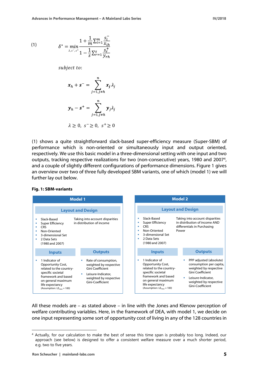(1) 
$$
\delta^* = \min_{\lambda, s^-, s^+} \frac{1 + \frac{1}{m} \sum_{i=1}^m \frac{S_i}{x_{ih}}}{1 - \frac{1}{S} \sum_{r=1}^S \frac{S_r^+}{y_{rh}}}
$$

subject to:

$$
x_h + s^- = \sum_{j=1, j \neq h}^n x_j \lambda_j
$$
  

$$
y_h - s^+ = \sum_{j=1, j \neq h}^n y_j \lambda_j
$$
  

$$
\lambda \ge 0, s^- \ge 0, s^+ \ge 0
$$

(1) shows a quite straightforward slack-based super-efficiency measure (Super-SBM) of performance which is non-oriented or simultaneously input and output oriented, respectively. We use this basic model in a three-dimensional setting with one input and two outputs, tracking respective realizations for two (non-consecutive) years, 1980 and 2007<sup>4</sup>, and a couple of slightly different configurations of performance dimensions. Figure 1 gives an overview over two of three fully developed SBM variants, one of which (model 1) we will further lay out below.



**Fig. 1: SBM-variants**

All these models are – as stated above – in line with the Jones and Klenow perception of welfare contributing variables. Here, in the framework of DEA, with model 1, we decide on one input representing some sort of opportunity cost of living in any of the 128 countries in

<sup>4</sup> Actually, for our calculation to make the best of sense this time span is probably too long. Indeed, our approach (see below) is designed to offer a consistent welfare measure over a much shorter period, e.g. two to five years.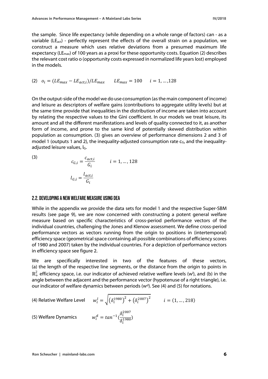the sample. Since life expectancy (while depending on a whole range of factors) can - as a variable (LE<sub>act</sub>) - perfectly represent the effects of the overall strain on a population, we construct a measure which uses relative deviations from a presumed maximum life expectancy (LE<sub>max</sub>) of 100 years as a proxi for these opportunity costs. Equation (2) describes the relevant cost ratio o (opportunity costs expressed in normalized life years lost) employed in the models.

(2) 
$$
o_i = (LE_{max} - LE_{act,i})/LE_{max}
$$
  $LE_{max} = 100$   $i = 1, ..., 128$ 

On the output-side of the model we do use consumption (as the main component of income) and leisure as descriptors of welfare gains (contributions to aggregate utility levels) but at the same time provide that inequalities in the distribution of income are taken into account by relating the respective values to the Gini coefficient. In our models we treat leisure, its amount and all the different manifestations and levels of quality connected to it, as another form of income, and prone to the same kind of potentially skewed distribution within population as consumption. (3) gives an overview of performance dimensions 2 and 3 of model 1 (outputs 1 and 2), the inequality-adjusted consumption rate  $c_{\text{G}}$ , and the inequalityadjusted leisure values,  $I_G$ .

(3)

$$
c_{G,i} = \frac{c_{act,i}}{G_i}
$$
  $i = 1, ..., 128$   

$$
l_{G,i} = \frac{l_{act,i}}{G_i}
$$

#### 2.2. DEVELOPING A NEW WELFARE MEASURE USING DEA

While in the appendix we provide the data sets for model 1 and the respective Super-SBM results (see page 9), we are now concerned with constructing a potent general welfare measure based on specific characteristics of cross-period performance vectors of the individual countries, challenging the Jones and Klenow assessment. We define cross-period performance vectors as vectors running from the origin to positions in (intertemporal) efficiency space (geometrical space containing all possible combinations of efficiency scores of 1980 and 2007) taken by the individual countries. For a depiction of performance vectors in efficiency space see figure 2.

We are specifically interested in two of the features of these vectors, (a) the length of the respective line segments, or the distance from the origin to points in  $\mathbb{R}_+^2$  efficiency space, i.e. our indicator of achieved relative welfare levels (w<sup>i</sup>), and (b) in the angle between the adjacent and the performance vector (hypotenuse of a right triangle), i.e. our indicator of welfare dynamics between periods  $(w<sup>d</sup>)$ . See (4) and (5) for notations.

(4) Relative Welfare Level 
$$
w_i^l = \sqrt{(\delta_i^{1980})^2 + (\delta_i^{2007})^2}
$$
  $i = (1, ..., 218)$ 

(5) Welfare Dynamics

$$
w_i^d = \tan^{-1}(\frac{\delta_i^{2007}}{\delta_i^{1980}})
$$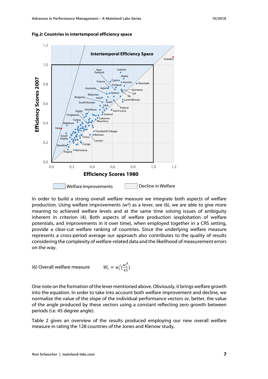

**Fig.2: Countries in intertemporal efficiency space** 

In order to build a strong overall welfare measure we integrate both aspects of welfare production. Using welfare improvements  $(w<sup>d</sup>)$  as a lever, see (6), we are able to give more meaning to achieved welfare levels and at the same time solving issues of ambiguity inherent in criterion (4). Both aspects of welfare production (exploitation of welfare potentials, and improvements in it over time), when employed together in a CRS setting, provide a clear-cut welfare ranking of countries. Since the underlying welfare measure represents a cross-period average our approach also contributes to the quality of results considering the complexity of welfare-related data and the likelihood of measurement errors on the way.

(6) Overall welfare measure 
$$
W_i = w_i^l \left(\frac{w_i^d}{45}\right)
$$

One note on the formation of the lever mentioned above. Obviously, it brings welfare growth into the equation. In order to take into account both welfare improvement and decline, we normalize the value of the slope of the individual performance vectors or, better, the value of the angle produced by these vectors using a constant reflecting zero growth between periods (i.e. 45 degree angle).

Table 2 gives an overview of the results produced employing our new overall welfare measure in rating the 128 countries of the Jones and Klenow study.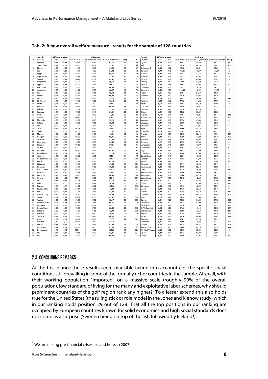|                          | Sample                           | <b>Efficiency Scores</b><br>Indicators |              |                | Sample         |                                                         | <b>Efficiency Scores</b> |  |            | Indicators                      |              |              |                |                |                                                         |                |
|--------------------------|----------------------------------|----------------------------------------|--------------|----------------|----------------|---------------------------------------------------------|--------------------------|--|------------|---------------------------------|--------------|--------------|----------------|----------------|---------------------------------------------------------|----------------|
|                          | Country                          | 1980                                   | 2007         |                |                | Rel. Welfare Level Welfare Dynamics Welfare Performance | Rang                     |  |            | Country                         | 1980         | 2007         |                |                | Rel. Welfare Level Welfare Dynamics Welfare Performance | Rang           |
| $\mathbf{1}$             | Maldives                         | 0,15                                   | 0,38         | 40,67          | 67,64          | 61,13                                                   | 51                       |  | 65         | Jganda                          | 0,23         | 0,23         | 32,82          | 44,30          | 32,31                                                   | 110            |
| $\overline{\phantom{a}}$ | South Korea                      | 0,42                                   | 0,61         | 74,30          | 55,34          | 91,37                                                   | 23                       |  | 66         | Mali                            | 0.22         | 0.23         | 31,78          | 46,20          | 32,62                                                   | 109            |
| $\overline{3}$           | Bhutan                           | 0,24                                   | 0,34         | 41,00          | 54,87          | 49,98                                                   | 73                       |  | 67         | Switzerland                     | 0,50         | 0,62         | 79,58          | 50,81          | 89,86                                                   | 25             |
| $\Delta$                 | Iran                             | 0.26                                   | 0.35         | 43,73          | 53,33          | 51,83                                                   | 68                       |  | 68         | Belgium                         | 0.72         | 0.78         | 106.21         | 47,49          | 112,07                                                  | 8              |
| 5                        | Egypt                            | 0.32                                   | 0,46         | 56,22          | 54,91          | 68,59                                                   | 43                       |  | 69         | Kuwait                          | 0.24         | 0,26         | 35,52          | 47,14          | 37,21                                                   | 105            |
| 6                        | Cape Verde                       | 0,34                                   | 0,49         | 59,97          | 55,39          | 73,80                                                   | 36                       |  | 70         | Mauritius                       | 0.44         | 0.44         | 61,77          | 45,08          | 61,87                                                   | 50             |
| $\overline{7}$           | Turkey                           | 0,26                                   | 0,41         | 48,49          | 57,91          | 62,41                                                   | 49                       |  | 71         | Canada                          | 0.61         | 0,67         | 91,21          | 47,66          | 96,61                                                   | 20             |
| 8                        | Singapore                        | 0,34                                   | 0,41         | 53,56          | 50,09          | 59,63                                                   | 54                       |  | 72         | Norway                          | 0,70         | 0,62         | 93,60          | 41,42          | 86,16                                                   | 27             |
| 9                        | Cyprus                           | 0,58                                   | 0,83         | 100,91         | 54,97          | 123,27                                                  | $\overline{4}$           |  | 73         | Mexico                          | 0,29         | 0,38         | 48,01          | 53,02          | 56,57                                                   | 61             |
| 10                       | Cambodia                         | 0,20                                   | 0,27         | 33,83          | 53,65          | 40,33                                                   | 95                       |  | 74         | Honduras                        | 0,35         | 0,50         | 61,31          | 54,74          | 74,59                                                   | 35             |
| 11                       | Argentina                        | 0,44                                   | 0,48         | 64,82          | 47,39          | 68,27                                                   | 45                       |  | 75         | Denmark                         | 0,84         | 0,81         | 116,35         | 43,99          | 113,73                                                  | $\overline{7}$ |
| 12                       | Iraq                             | 0,10                                   | 0,35         | 35,98          | 74,56          | 59,62                                                   | 55                       |  | 76         | Nepal                           | 0,21         | 0,29         | 36,04          | 54,57          | 43,70                                                   | 91             |
| 13                       | Poland                           | 0,61                                   | 0,64         | 88,35          | 45,98          | 90,28                                                   | 24                       |  | 77         | Ecuador                         | 0.26         | 0.33         | 42,19          | 51,94          | 48,70                                                   | 77             |
| 14                       | China                            | 0,30                                   | 0,27         | 40,69          | 42,23          | 38,18                                                   | 99                       |  | 78         | Chad                            | 0,29         | 0,21         | 35,82          | 36,59          | 29,13                                                   | 117            |
| 15                       | St. Vincent                      | 0.48                                   | 0,54         | 71,88          | 48,28          | 77,12                                                   | 32                       |  | 79         | Panama                          | 0.34         | 0.33         | 47,72          | 44,32          | 47,00                                                   | 82             |
| 16                       | Malta                            | 0,71                                   | 0,86         | 111,35         | 50,32          | 124,51                                                  | $\overline{\mathbf{3}}$  |  | 80         | Belize                          | 0.54         | 0,55         | 77,07          | 45,59          | 78,08                                                   | 30             |
| 17                       | Vietnam                          | 0,30                                   | 0,41         | 50,96          | 53,32          | 60,38                                                   | 53                       |  | 81         | Costa Rica                      | 0,41         | 0,49         | 63,59          | 50,07          | 70,75                                                   | 38             |
| 18                       | Bolivia                          | 0,18                                   | 0,25         | 31,34          | 54,07          | 37,66                                                   | 103                      |  | 82         | Pakistan                        | 0.38         | 0,41         | 55,98          | 47,20          | 58,71                                                   | 57             |
| 19                       | Portugal                         | 0,48                                   | 0,58         | 75,29          | 50,45          | 84,41                                                   | 28                       |  | 83         | Ghana                           | 0.29         | 0.35         | 44,88          | 50,39          | 50,25                                                   | 70             |
| 20                       | Oman                             | 0.27                                   | 0.31         | 41.02          | 49.22          | 44.86                                                   | 89                       |  | 84         | Nigeria                         | 0.18         | 0.21         | 27.81          | 49.25          | 30,44                                                   | 116            |
| 21                       | Greece                           | 0,57                                   | 0,71         | 90,89          | 51,23          | 103,47                                                  | 15                       |  | 85         | Burkina Faso                    | 0,23         | 0,25         | 33,75          | 47,36          | 35,52                                                   | 106            |
| 22                       | Mongolia                         | 0,37                                   | 0,38         | 52,64          | 45,45          | 53,16                                                   | 65                       |  | 86         | Morocco                         | 0,31         | 0,36         | 47,76          | 49,40          | 52,43                                                   | 67             |
| 23                       | Ireland                          | 0,50                                   | 0,49         | 70,25          | 44,18          | 68,98                                                   | 42                       |  | 87         | Uruguay                         | 0,37         | 0.43         | 56,99          | 49,54          | 62,73                                                   | 48             |
| 24                       | Lao                              | 0,27                                   | 0,33         | 43,00          | 50,40          | 48,16                                                   | 78                       |  | 88         | Paraguay                        | 0.29         | 0,32         | 43,53          | 47,96          | 46,38                                                   | 85             |
| 25                       | Japan                            | 0,56                                   | 0,76         | 94,08          | 53,57          | 112,01                                                  | 9                        |  | 89         | Syria                           | 0,52         | 0,53         | 74,66          | 45,74          | 75,88                                                   | 33             |
| 26                       | Spain                            | 0,56                                   | 0,67         | 87,03          | 50,20          | 97,08                                                   | 19                       |  | 90         | Colombia                        | 0.25         | 0,28         | 38,03          | 48,41          | 40,91                                                   | 94             |
| 27                       | Macao                            | 0,41                                   | 0,36         | 54,36          | 41,07          | 49,61                                                   | 75                       |  | 91         | Angola                          | 0,16         | 0,13         | 20,93          | 38,15          | 17,74                                                   | 127            |
| 28                       | Hungary                          | 0,68                                   | 0,68         | 95,82          | 44,83          | 95,45                                                   | 21                       |  | 92         | Benin                           | 0,24         | 0,27         | 35,90          | 47,82          | 38,15                                                   | 100            |
| 29                       | Thailand                         | 0,33                                   | 0,36         | 49,18          | 47,11          | 51,49                                                   | 69                       |  | 93         | Namibia                         | 0,16         | 0,18         | 24,26          | 48,26          | 26,02                                                   | 123            |
| 30                       | Indonesia                        | 0,29                                   | 0,38         | 47,43          | 52,65          | 55,49                                                   | 62                       |  | 94         | Comoros                         | 0,27         | 0,37         | 45,32          | 53,96          | 54,35                                                   | 63             |
| 31                       | Finland                          | 0.64                                   | 0.77         | 99,63          | 50.37          | 111,51                                                  | 10                       |  | 95         | Venezuela                       | 0.36         | 0.40         | 53,70          | 47,97          | 57,24                                                   | 60             |
| 32                       | Austria                          | 0,69                                   | 0,82         | 107,33         | 49,94          | 119,12                                                  | 5                        |  | 96         | Mauritania                      | 0,28         | 0,27         | 38,91          | 43,57          | 37,68                                                   | 102            |
| 33                       | Lebanon                          | 0.46                                   | 0.45         | 64,30          | 44,77          | 63,97                                                   | 47                       |  | 97         | Togo                            | 0.24         | 0.31         | 38,81          | 52,09          | 44,93                                                   | 88             |
| 34                       | Hong Kong                        | 0,48                                   | 0,54         | 71,87          | 48,36          | 77,24                                                   | 31                       |  | 98         | Philippines                     | 0,32         | 0,32         | 45,46          | 45,50          | 45,96                                                   | 86             |
| 35                       | Albania                          | 0.46                                   | 0,69         | 82.82          | 56,53          | 104.04                                                  | 14                       |  | 99         | Bangladesh                      | 0.37         | 0.41         | 55,31          | 47,98          | 58,97                                                   | 56             |
| 36                       | <b>United Kingdom</b>            | 0,69                                   | 0,73         | 100,84         | 46,74          | 104,74                                                  | 13                       |  | 100        | Senegal                         | 0,25         | 0,28         | 37,52          | 47,70          | 39,77                                                   | 96             |
| 37                       | Brazil                           | 0,23                                   | 0,30         | 37,71          | 52,20          | 43,74                                                   | 90                       |  | 101        | Jordan                          | 0,46         | 0,48         | 66,77          | 46,10          | 68,40                                                   | 44             |
| 38                       | Bahamas                          | 0,22                                   | 0,31         | 37,98          | 53,85          | 45,45                                                   | 87                       |  | 102        | Ethiopia                        | 0,30         | 0,35         | 46,19          | 48,90          | 50,19                                                   | 71             |
| 39                       | Sri Lanka                        | 0,41                                   | 0,49         | 63,75          | 49,63          | 70,30                                                   | 39                       |  | 103        | Madagascar                      | 0,22         | 0,31         | 37,99          | 55,14          | 46,55                                                   | 84             |
| 40                       | New Zealand                      | 0,63                                   | 0,75         | 97,28          | 50,02          | 108,14                                                  | 11                       |  | 104        | Qatar                           | 0,29         | 0,21         | 35,78          | 36,49          | 29,01                                                   | 119            |
| 41                       | Australia                        | 0,54                                   | 0,70         | 88,78          | 52,17          | 102,93                                                  | 17                       |  | 105        | Sao Tome/Princi                 | 0,40         | 0,41         | 56,96          | 46,00          | 58,23                                                   | 58             |
| 42                       | <b>Barbados</b>                  | 0.40                                   | 0,42         | 58,50          | 46,46          | 60,40                                                   | 52                       |  | 106        | Saint Lucia                     | 0.59         | 0.54         | 79,80          | 42,24          | 74,91                                                   | 34             |
| 43                       | Iceland                          | 0,68                                   | 0,92         | 114,60         | 53,58          | 136,46                                                  | $\overline{2}$           |  | 107        | South Africa                    | 0,17         | 0,16         | 23,12          | 42,30          | 21,73                                                   | 126            |
| 44                       | India                            | 0.35                                   | 0.34         | 48,43          | 43,83          | 47,18                                                   | 81                       |  | 108        | Rwanda                          | 0.21         | 0.22         | 30,32          | 45,54          | 30,69                                                   | 114            |
| 45                       | Italy                            | 0,50                                   | 0,66         | 83,07          | 53,14          | 98,09                                                   | 18                       |  | 109        | Gabon                           | 0.22         | 0,21         | 30,13          | 43,46          | 29,10                                                   | 118            |
| 46                       | Erance                           | 0,56                                   | 0,77         | 95,61          | 53,92          | 114,56                                                  | 6                        |  | 110        | Suriname                        | 0.40         | 0.38         | 55,10          | 42,92          | 52,55                                                   | 66             |
| 47                       | Saudi Arabia                     | 0,15                                   | 0.30         | 33,14          | 63,55          | 46,80                                                   | 83                       |  | 111        | Lesotho                         | 0.38         | 0.28         | 47,36          | 36,54          | 38,46                                                   | 98             |
| 48                       | Peru                             | 0,26                                   | 0,33         | 41,91          | 50,91          | 47,42                                                   | 80                       |  | 112        | Malawi                          | 0,22         | 0,22         | 30,55          | 45,12          | 30,63                                                   | 115            |
| 49                       | Luxembourg                       | 0,70                                   | 0,64         | 95,20          | 42,40          | 89,69                                                   | 26                       |  | 113        | Djibouti                        | 0,25         | 0,26         | 36,10          | 46,72          | 37,48                                                   | 104            |
| 50                       | Sudan                            | 0,31                                   | 0,34         | 46,67          | 47,56          | 49,32                                                   | 76                       |  | 114        | Niger                           | 0,19         | 0,28         | 34,24          | 55,36          | 42,13                                                   | 93             |
| 51                       | Tunisia                          | 0,31                                   | 0,40         | 50,23          | 52,12          | 58,17                                                   | 59                       |  | 115        | Bahrain                         | 0,41         | 0,28         | 49,83          | 34,24          | 37,92                                                   | 101            |
| 52                       |                                  | 0,42                                   | 0,48         | 63,93          | 48,83          | 69,37                                                   | 41                       |  | 116        |                                 | 0,22         | 0,20         | 29,57          | 41,99          | 27,58                                                   | 121            |
| 53                       | Dominican Rep.<br>Germany        | 0,69                                   | 0,75         | 101,60         | 47,27          | 106,72                                                  | 12                       |  | 117        | Cameroon<br>Zimbabwe            | 0,29         | 0,21         | 35,36          | 35,56          | 27,95                                                   | 120            |
|                          |                                  |                                        |              |                |                |                                                         |                          |  |            |                                 |              |              |                |                |                                                         |                |
| 54<br>55                 | <b>United States</b><br>Bulgaria | 0,51<br>0,50                           | 0,56<br>0,51 | 75,60<br>71,86 | 47,87<br>45,55 | 80,42<br>72,74                                          | 29<br>37                 |  | 118<br>119 | C. Afr. Republi<br>Cote divoire | 0,28<br>0,24 | 0,25<br>0.23 | 37,60<br>32,86 | 41,15<br>43,54 | 34,38<br>31,79                                          | 107<br>112     |
|                          |                                  | 0,22                                   |              |                |                |                                                         |                          |  | 120        |                                 | 0,25         |              | 30,55          |                |                                                         | 125            |
| 56                       | Botswana                         |                                        | 0,12         | 25,30          | 29,12          | 16,37                                                   | 128                      |  |            | Zambia                          |              | 0,18         |                | 35,93          | 24,39                                                   |                |
| 57                       | Jamaica                          | 0,38                                   | 0,45         | 58,46          | 49,90          | 64,82                                                   | 46                       |  | 121        | Kenya                           | 0,26         | 0,23         | 34,76          | 40,94          | 31,63                                                   | 113            |
| 58<br>59                 | Israel                           | 0,54                                   | 0,64         | 83,99          | 49,68          | 92,72                                                   | 22                       |  | 122        | Tanzania                        | 0.30         | 0,28         | 40,81          | 43,26          | 39,23                                                   | 97             |
|                          | Sweden                           | 1,19                                   | 1,08         | 161,06         | 42,13          | 150,79                                                  | $\overline{1}$           |  | 123        | Swaziland                       | 0,26         | 0,19         | 31,99          | 35,48          | 25,23                                                   | 124            |
| 60                       | Malaysia                         | 0.33                                   | 0.34         | 47,05          | 45,61          | 47,68                                                   | 79                       |  | 124        | Guinea                          | 0.20         | 0.24         | 31,18          | 49,23          | 34,11                                                   | 108            |
| 61                       | Guatemala                        | 0,24                                   | 0,34         | 41,18          | 54,53          | 49,90                                                   | 74                       |  | 125        | Sierra Leone                    | 0,26         | 0.23         | 34,46          | 42,19          | 32,30                                                   | 111            |
| 62                       | Netherlands                      | 0,70                                   | 0,72         | 100,46         | 46,15          | 103,02                                                  | 16                       |  | 126        | Trinidad/Tobago                 | 0,42         | 0,32         | 52,50          | 37,09          | 43,27                                                   | 92             |
| 63<br>64                 | Chile                            | 0,34                                   | 0,37         | 50,41          | 47,72          | 53,45                                                   | 64<br>40                 |  | 127        | Liberia                         | 0,24         | 0,34         | 41,13          | 54,77          | 50,06                                                   | 72<br>122      |
|                          | Fiji                             | 0,34                                   | 0,47         | 58,26          | 54,02          | 69,94                                                   |                          |  | 128        | Congo                           | 0,30         | 0,20         | 35,56          | 33,95          | 26,83                                                   |                |

#### **Tab. 2: A new overall welfare measure - results for the sample of 128 countries**

#### **2.3. CONCLUDING REMARKS**

At the first glance these results seem plausible taking into account e.g. the specific social conditions still prevailing in some of the formally richer countries in the sample. After all, with their working population "imported" on a massive scale (roughly 90% of the overall population), low standard of living for the many and exploitative labor schemes, why should prominent countries of the golf region rank any higher? To a lesser extend this also holds true for the United States (the ruling stick or role model in the Jones and Klenow study) which in our ranking holds position 29 out of 128. That all the top positions in our ranking are occupied by European countries known for solid economies and high social standards does not come as a surprise (Sweden being on top of the list, followed by Iceland<sup>5</sup>).

We are talking pre-financial crises Iceland here, in 2007.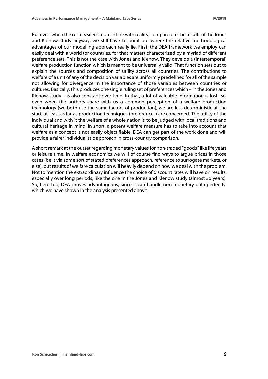But even when the results seem more in line with reality, compared to the results of the Jones and Klenow study anyway, we still have to point out where the relative methodological advantages of our modelling approach really lie. First, the DEA framework we employ can easily deal with a world (or countries, for that matter) characterized by a myriad of different preference sets. This is not the case with Jones and Klenow. They develop a (intertemporal) welfare production function which is meant to be universally valid. That function sets out to explain the sources and composition of utility across all countries. The contributions to welfare of a unit of any of the decision variables are uniformly predefined for all of the sample not allowing for divergence in the importance of those variables between countries or cultures. Basically, this produces one single ruling set of preferences which – in the Jones and Klenow study – is also constant over time. In that, a lot of valuable information is lost. So, even when the authors share with us a common perception of a welfare production technology (we both use the same factors of production), we are less deterministic at the start, at least as far as production techniques (preferences) are concerned. The utility of the individual and with it the welfare of a whole nation is to be judged with local traditions and cultural heritage in mind. In short, a potent welfare measure has to take into account that welfare as a concept is not easily objectifiable. DEA can get part of the work done and will provide a fairer individualistic approach in cross-country comparison.

A short remark at the outset regarding monetary values for non-traded "goods" like life years or leisure time. In welfare economics we will of course find ways to argue prices in those cases (be it via some sort of stated preferences approach, reference to surrogate markets, or else), but results of welfare calculation will heavily depend on how we deal with the problem. Not to mention the extraordinary influence the choice of discount rates will have on results, especially over long periods, like the one in the Jones and Klenow study (almost 30 years). So, here too, DEA proves advantageous, since it can handle non-monetary data perfectly, which we have shown in the analysis presented above.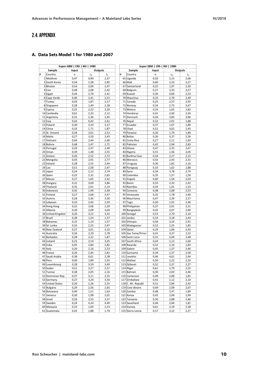# 2.4. APPENDIX

#### **A. Data Sets Model 1 for 1980 and 2007**

| Super-SBM   CRS   NO   1980 |                   |       |         |                  | Super-SBM   CRS   NO   1980 |                     |                  |                         |                  |  |  |
|-----------------------------|-------------------|-------|---------|------------------|-----------------------------|---------------------|------------------|-------------------------|------------------|--|--|
|                             | Sample            | Input | Outputs |                  |                             | Sample              | Outputs<br>Input |                         |                  |  |  |
| #                           | Country           | o     | $C_G$   | $I_{\mathsf{G}}$ | #                           | Country             | o                | $\mathsf{C}_\mathsf{G}$ | $I_{\mathsf{G}}$ |  |  |
|                             | 1 Maldives        | 0,47  | 0,90    | 2,37             |                             | 65 Uganda           | 0,50             | 2,15                    | 2,06             |  |  |
|                             | 2 South Korea     | 0,34  | 2,38    | 2,85             |                             | 66 Mali             | 0,60             | 2,53                    | 2,27             |  |  |
|                             | 3Bhutan           | 0,54  | 2,09    | 2,47             | 67                          | Switzerland         | 0,25             | 1,97                    | 2,50             |  |  |
|                             | $4$  Iran         | 0,48  | 2,08    | 2,42             |                             | 68 Belgium          | 0,27             | 3,35                    | 3,57             |  |  |
|                             | 5 Egypt           | 0,44  | 2,70    | 2,41             |                             | 69 Kuwait           | 0,30             | 0,84                    | 2,53             |  |  |
|                             | 6 Cape Verde      | 0,40  | 2,41    | 2,51             | 70                          | Mauritius           | 0,33             | 2,70                    | 2,49             |  |  |
|                             | 7 Turkey          | 0,43  | 1,87    | 2,17             | 71                          | Canada              | 0,25             | 2,57                    | 2,95             |  |  |
|                             | 8 Singapore       | 0,28  | 1,40    | 2,28             | 72                          | Norway              | 0,24             | 2,73                    | 3,47             |  |  |
|                             | $9$ Cyprus        | 0,25  | 2,22    | 3,20             |                             | 73 Mexico           | 0,33             | 1,65                    | 1,82             |  |  |
| 10                          | Cambodia          | 0,61  | 2,32    | 2,12             |                             | 74 Honduras         | 0,41             | 2,60                    | 2,56             |  |  |
|                             | 11 Argentina      | 0,31  | 2,36    | 2,45             | 75                          | Denmark             | 0,26             | 3,83                    | 3,96             |  |  |
|                             | 12 Iraq           | 0,43  | 0,42    | 2,61             |                             | 76 Nepal            | 0,52             | 2,01                    | 1,88             |  |  |
|                             | 13 Poland         | 0,30  | 3,33    | 3,27             |                             | 77 Ecuador          | 0,37             | 1,67                    | 1,80             |  |  |
|                             | 14 China          | 0,33  | 1,71    | 1,87             | 78                          | Chad                | 0,52             | 3,02                    | 2,45             |  |  |
| 15                          | St. Vincent       | 0,34  | 3,61    | 2,52             | 79                          | Panama              | 0,30             | 1,79                    | 1,89             |  |  |
|                             | 16 Malta          | 0,27  | 3,50    | 3,43             |                             | 80 Belize           | 0,30             | 3,37                    | 2,56             |  |  |
| 17                          | Vietnam           | 0,44  | 2,44    | 2,40             | 81                          | Costa Rica          | 0,27             | 2,11                    | 1,93             |  |  |
|                             | 18 Bolivia        | 0,48  | 1,47    | 1,71             | 82                          | Pakistan            | 0,42             | 2,94                    | 2,83             |  |  |
|                             | 19 Portugal       | 0,29  | 2,47    | 2,49             | 83                          | Ghana               | 0,47             | 2,35                    | 2,47             |  |  |
|                             | 20 Oman           | 0,39  | 1,48    | 2,55             |                             | 84 Nigeria          | 0,55             | 1,56                    | 2,05             |  |  |
|                             | 21 Greece         | 0,26  | 2,52    | 2,72             |                             | 85 Burkina Faso     | 0,54             | 2,27                    | 2,15             |  |  |
|                             | 22 Mongolia       | 0,43  | 2,91    | 2,77             |                             | 86 Morocco          | 0,42             | 2,43                    | 2,31             |  |  |
|                             | 23 Ireland        | 0,28  | 2,55    | 2,44             | 87                          | Uruguay             | 0,30             | 1,82                    | 2,16             |  |  |
|                             | $24$ Lao          | 0,51  | 2,58    | 2,47             | 88                          | Paraguay            | 0,33             | 1,62                    | 1,88             |  |  |
|                             | 25 Japan          | 0,24  | 2,12    | 2,74             | 89                          | Syria               | 0,34             | 3,78                    | 2,74             |  |  |
|                             | 26 Spain          | 0,25  | 2,31    | 2,65             | 90                          | Colombia            | 0,35             | 1,57                    | 1,56             |  |  |
|                             | 27 Macao          | 0,27  | 1,65    | 2,42             |                             | 91 Angola           | 0,60             | 1,56                    | 2,03             |  |  |
|                             | 28 Hungary        | 0,31  | 3,69    | 3,86             | 92                          | Benin               | 0,55             | 2,32                    | 2,42             |  |  |
|                             | 29 Thailand       | 0,35  | 2,01    | 2,14             |                             | 93 Namibia          | 0,42             | 1,01                    | 1,53             |  |  |
|                             | 30 Indonesia      | 0,42  | 1,94    | 2,49             | 94                          | Comoros             | 0,48             | 2,08                    | 2,55             |  |  |
|                             | 31 Finland        | 0,27  | 2,68    | 3,47             | 95                          | Venezuela           | 0,32             | 1,78                    | 2,40             |  |  |
|                             | 32 Austria        | 0,28  | 3,36    | 3,50             | 96                          | Mauritania          | 0,47             | 2,39                    | 2,37             |  |  |
|                             | 33 Lebanon        | 0,33  | 2,92    | 2,59             | 97                          | Togo                | 0,50             | 1,91                    | 2,46             |  |  |
|                             | 34 Hong Kong      | 0,25  | 2,06    | 2,29             | 98                          | Philippines         | 0,37             | 2,01                    | 2,21             |  |  |
|                             | 35 Albania        | 0,30  | 2,09    | 3,04             | 99                          | Bangladesh          | 0,45             | 3,07                    | 2,90             |  |  |
|                             | 36 United Kingdom | 0,26  | 3,22    | 3,32             |                             | 100 Senegal         | 0,53             | 2,70                    | 2,16             |  |  |
|                             | 37 Brazil         | 0,38  | 1,54    | 1,57             |                             | 101 Jordan          | 0,33             | 3,18                    | 2,43             |  |  |
|                             | 38 Bahamas        | 0,32  | 1,10    | 1,57             | 102                         | Ethiopia            | 0,56             | 3,24                    | 2,91             |  |  |
|                             | 39 Sri Lanka      | 0,32  | 2,25    | 2,47             |                             | 103 Madagascar      | 0,52             | 2,25                    | 1,85             |  |  |
|                             | 40 New Zealand    | 0,27  | 3,01    | 3,10             |                             | 104 Qatar           | 0,29             | 1,06                    | 2,43             |  |  |
|                             | 41 Australia      | 0,26  | 2,29    | 2,78             |                             | 105 Sao Tome/Princi | 0,41             | 3,37                    | 2,53             |  |  |
|                             | 42 Barbados       | 0,28  | 2,22    | 1,87             |                             | 106 Saint Lucia     | 0,31             | 5,04                    | 2,48             |  |  |
|                             | 43 Iceland        | 0,23  | 2,54    | 3,25             | 107                         | South Africa        | 0,43             | 1,12                    | 1,60             |  |  |
|                             | 44 India          | 0,45  | 2,80    | 2,82             |                             | 108 Rwanda          | 0,52             | 2,16                    | 1,83             |  |  |
|                             | 45 Italy          | 0,26  | 2,16    | 2,53             |                             | 109 Gabon           | 0,45             | 1,37                    | 2,46             |  |  |
|                             | 46 France         | 0,26  | 2,45    | 2,81             |                             | 110 Suriname        | 0,34             | 2,37                    | 2,58             |  |  |
| 47                          | Saudi Arabia      | 0,38  | 0,61    | 2,58             |                             | 111 Lesotho         | 0,46             | 4,61                    | 2,44             |  |  |
|                             | 48 Peru           | 0,40  | 1,89    | 1,91             |                             | 112 Malawi          | 0,56             | 2,22                    | 2,10             |  |  |
|                             | 49 Luxembourg     | 0,28  | 3,59    | 3,49             |                             | 113 Djibouti        | 0,52             | 2,37                    | 2,27             |  |  |
|                             | 50 Sudan          | 0,51  | 3,27    | 2,57             |                             | 114 Niger           | 0,61             | 1,79                    | 2,55             |  |  |
|                             | 51 Tunisia        | 0,38  | 2,05    | 2,16             |                             | 115 Bahrain         | 0,30             | 2,03                    | 2,46             |  |  |
|                             | 52 Dominican Rep. | 0,37  | 3,11    | 2,55             |                             | 116 Cameroon        | 0,49             | 2,08                    | 1,81             |  |  |
|                             | 53 Germany        | 0,27  | 3,24    | 3,50             |                             | 117 Zimbabwe        | 0,41             | 2,12                    | 2,10             |  |  |
|                             | 54 United States  | 0,26  | 2,26    | 2,55             |                             | 118 C. Afr. Republi | 0,51             | 2,84                    | 2,42             |  |  |
|                             | 55 Bulgaria       | 0,29  | 2,56    | 2,65             |                             | 119 Cote divoire    | 0,49             | 2,09                    | 2,07             |  |  |
|                             | 56 Botswana       | 0,40  | 1,51    | 1,63             |                             | 120 Zambia          | 0,48             | 2,47                    | 1,89             |  |  |
|                             | 57 Jamaica        | 0,30  | 1,98    | 2,01             |                             | 121 Kenya           | 0,42             | 2,06                    | 1,94             |  |  |
|                             | 58 Israel         | 0,26  | 2,53    | 2,57             |                             | 122 Tanzania        | 0,50             | 2,88                    | 2,46             |  |  |
|                             | 59 Sweden         | 0,24  | 4,24    | 4,49             |                             | 123 Swaziland       | 0,46             | 2,66                    | 1,81             |  |  |
|                             | 60 Malaysia       | 0,33  | 1,69    | 2,23             |                             | 124 Guinea          | 0,61             | 2,19                    | 2,28             |  |  |
|                             | 61 Guatemala      | 0,43  | 1,88    | 1,79             |                             | 125 Sierra Leone    | 0,57             | 3,12                    | 2,27             |  |  |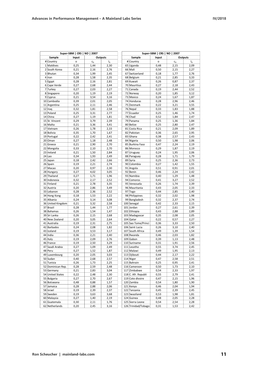|    |                   | Super-SBM   CRS   NO   2007 |                         |                  |                     | Super-SBM   CRS   NO   2007 |                         |         |
|----|-------------------|-----------------------------|-------------------------|------------------|---------------------|-----------------------------|-------------------------|---------|
|    | Sample            | Input                       | Outputs                 |                  | Sample              | Input                       |                         | Outputs |
|    | # Country         | o                           | $\mathsf{C}_\mathsf{G}$ | $I_{\mathsf{G}}$ | # Country           | о                           | $\mathsf{C}_\mathsf{G}$ | $I_G$   |
|    | 1 Maldives        | 0,25                        | 1,44                    | 2,30             | 65 Uganda           | 0,48                        | 2,15                    | 2,09    |
|    | 2 South Korea     |                             |                         |                  | 66 Mali             |                             |                         |         |
|    |                   | 0,21                        | 2,16                    | 2,76             |                     | 0,50                        | 2,15                    | 2,27    |
|    | 3Bhutan           | 0,34                        | 1,99                    | 2,45             | 67 Switzerland      | 0,18                        | 1,77                    | 2,76    |
|    | 4 Iran            | 0,28                        | 1,58                    | 2,35             | 68 Belgium          | 0,21                        | 2,85                    | 3,33    |
|    | $5$ Egypt         | 0,28                        | 2,16                    | 2,81             | 69 Kuwait           | 0,26                        | 0,87                    | 2,37    |
|    | 6 Cape Verde      | 0,27                        | 2,68                    | 2,44             | 70 Mauritius        | 0,27                        | 2,18                    | 2,43    |
|    | 7 Turkey          | 0,27                        | 2,03                    | 2,27             | 71 Canada           | 0,19                        | 2,44                    | 2,52    |
|    | 8 Singapore       | 0,20                        | 1,19                    | 2,19             | 72 Norway           | 0,20                        | 1,85                    | 3,12    |
|    | 9 Cyprus          | 0,21                        | 3,54                    | 3,16             | 73 Mexico           | 0,24                        | 1,67                    | 1,87    |
|    | 10 Cambodia       | 0,39                        | 2,01                    | 2,05             | 74 Honduras         | 0,28                        | 2,96                    | 2,46    |
|    | 11 Argentina      | 0,25                        | 2,11                    | 2,46             | 75 Denmark          | 0,22                        | 3,21                    | 3,55    |
|    | 12 Iraq           | 0,32                        | 1,81                    | 2,58             | 76 Nepal            | 0,33                        | 1,83                    | 1,88    |
|    | 13 Poland         | 0,25                        | 3,31                    | 2,77             | 77 Ecuador          | 0,25                        | 1,46                    | 1,74    |
|    | 14 China          | 0,27                        | 1,19                    | 1,81             | 78 Chad             | 0,52                        | 1,84                    | 2,47    |
|    | 15 St. Vincent    | 0,29                        | 3,79                    | 2,39             | 79 Panama           | 0,25                        | 1,36                    | 1,84    |
|    | 16 Malta          | 0,21                        | 3,36                    | 3,41             | 80 Belize           | 0,25                        | 2,80                    | 2,47    |
|    | 17 Vietnam        | 0,26                        | 1,78                    | 2,33             | 81 Costa Rica       | 0,21                        | 2,09                    | 1,89    |
|    | 18 Bolivia        | 0,35                        | 1,70                    | 1,67             | 82 Pakistan         | 0,36                        | 2,65                    | 2,95    |
|    | 19 Portugal       | 0,22                        | 2,42                    | 2,41             | 83 Ghana            | 0,38                        | 2,57                    | 2,43    |
|    | 20 Oman           | 0,27                        | 1,18                    | 2,48             | 84 Nigeria          | 0,50                        | 1,98                    | 2,06    |
|    | 21 Greece         | 0,21                        | 2,90                    | 2,70             | 85 Burkina Faso     | 0,47                        | 2,24                    | 2,19    |
|    | 22 Mongolia       | 0,33                        | 2,10                    | 2,70             | 86 Morocco          | 0,29                        | 1,87                    | 2,19    |
|    | 23 Ireland        | 0,21                        | 1,50                    | 2,84             | 87 Uruguay          | 0,24                        | 1,95                    | 2,06    |
|    | $24$ Lao          | 0,34                        | 1,93                    | 2,49             | 88 Paraguay         |                             |                         | 1,79    |
|    |                   |                             |                         |                  |                     | 0,28                        | 1,71                    |         |
|    | 25 Japan          | 0,18                        | 2,42                    | 2,66             | 89 Syria            | 0,25                        | 2,36                    | 2,73    |
|    | 26 Spain          | 0,19                        | 2,21                    | 2,74             | 90 Colombia         | 0,27                        | 1,42                    | 1,55    |
|    | 27 Macao          | 0,20                        | 0,97                    | 2,30             | 91 Angola           | 0,51                        | 0,91                    | 2,01    |
|    | 28 Hungary        | 0,27                        | 4,02                    | 3,05             | 92 Benin            | 0,46                        | 2,24                    | 2,42    |
|    | 29 Thailand       | 0,27                        | 1,71                    | 1,96             | 93 Namibia          | 0,40                        | 1,29                    | 1,48    |
|    | 30 Indonesia      | 0,32                        | 2,17                    | 2,52             | 94 Comoros          | 0,41                        | 3,27                    | 2,52    |
|    | 31 Finland        | 0,21                        | 2,78                    | 3,35             | 95 Venezuela        | 0,26                        | 1,74                    | 2,39    |
|    | 32 Austria        | 0,20                        | 2,86                    | 3,49             | 96 Mauritania       | 0,43                        | 2,05                    | 2,33    |
|    | 33 Lebanon        | 0,28                        | 2,36                    | 2,52             | 97 Togo             | 0,44                        | 2,85                    | 2,40    |
|    | 34 Hong Kong      | 0,18                        | 1,53                    | 2,22             | 98 Philippines      | 0,32                        | 2,02                    | 1,98    |
|    | 35 Albania        | 0,24                        | 3,14                    | 3,08             | 99 Bangladesh       | 0,32                        | 2,37                    | 2,74    |
|    | 36 United Kingdom | 0,21                        | 3,32                    | 2,58             | 100 Senegal         | 0,42                        | 2,33                    | 2,15    |
|    | 37 Brazil         | 0,28                        | 1,44                    | 1,77             | 101 Jordan          | 0,27                        | 2,61                    | 2,39    |
|    | 38 Bahamas        | 0,26                        | 1,54                    | 1,47             | 102 Ethiopia        | 0,43                        | 2,88                    | 2,89    |
|    | 39 Sri Lanka      | 0,26                        | 2,15                    | 2,68             | 103 Madagascar      | 0,35                        | 2,08                    | 2,05    |
|    | 40 New Zealand    | 0,20                        | 3,05                    | 2,64             | 104 Qatar           | 0,22                        | 0,57                    | 2,27    |
|    | 41 Australia      | 0,19                        | 2,31                    | 2,75             | 105 Sao Tome/Princi | 0,36                        | 3,33                    | 2,50    |
|    | 42 Barbados       | 0,24                        | 2,08                    | 1,82             | 106 Saint Lucia     | 0,26                        | 3,10                    | 2,40    |
|    | 43 Iceland        | 0,19                        | 3,53                    | 3,17             | 107 South Africa    | 0,49                        | 1,39                    | 1,54    |
| 44 | India             | 0,36                        | 2,21                    | 2,40             | 108 Rwanda          | 0,46                        | 2,03                    | 1,82    |
|    | 45 Italy          | 0,19                        | 2,09                    | 2,76             | 109 Gabon           | 0,39                        | 1,13                    | 2,48    |
|    | 46 France         | 0,19                        | 2,50                    | 3,29             | 110 Suriname        | 0,31                        | 1,91                    | 2,56    |
| 47 | Saudi Arabia      | 0,27                        | 1,09                    | 2,49             | 111 Lesotho         | 0,55                        | 3,74                    | 2,45    |
|    | 48 Peru           | 0,27                        | 1,52                    | 1,87             | 112 Malawi          | 0,49                        | 1,95                    | 2,13    |
|    |                   |                             |                         |                  | 113 Djibouti        |                             |                         |         |
|    | 49 Luxembourg     | 0,20                        | 2,05                    | 3,03             |                     | 0,44                        | 2,17                    | 2,22    |
|    | 50 Sudan          | 0,40                        | 2,68                    | 2,57             | 114 Niger           | 0,47                        | 2,58                    | 2,51    |
|    | 51 Tunisia        | 0,26                        | 1,73                    | 2,25             | 115 Bahrain         | 0,25                        | 0,95                    | 2,41    |
|    | 52 Dominican Rep. | 0,28                        | 2,59                    | 2,48             | 116 Cameroon        | 0,50                        | 1,73                    | 2,10    |
|    | 53 Germany        | 0,21                        | 2,83                    | 3,04             | 117 Zimbabwe        | 0,54                        | 2,33                    | 1,97    |
|    | 54 United States  | 0,22                        | 2,48                    | 2,30             | 118 C. Afr. Republi | 0,55                        | 2,79                    | 2,41    |
|    | 55 Bulgaria       | 0,27                        | 2,70                    | 2,67             | 119 Cote divoire    | 0,47                        | 2,15                    | 1,96    |
|    | 56 Botswana       | 0,48                        | 0,88                    | 1,57             | 120 Zambia          | 0,54                        | 1,80                    | 1,90    |
|    | 57 Jamaica        | 0,28                        | 2,88                    | 2,06             | 121 Kenya           | 0,46                        | 2,04                    | 1,94    |
|    | 58 Israel         | 0,19                        | 2,39                    | 2,37             | 122 Tanzania        | 0,45                        | 2,39                    | 2,45    |
|    | 59 Sweden         | 0,19                        | 3,63                    | 3,68             | 123 Swaziland       | 0,53                        | 1,98                    | 1,81    |
|    | 60 Malaysia       | 0,27                        | 1,40                    | 2,19             | 124 Guinea          | 0,48                        | 2,05                    | 2,28    |
|    | 61 Guatemala      | 0,30                        | 2,11                    | 1,76             | 125 Sierra Leone    | 0,54                        | 2,54                    | 2,28    |
|    | 62 Netherlands    | 0,20                        | 2,45                    | 3,16             | 126 Trinidad/Tobago | 0,31                        | 1,53                    | 2,42    |

|                           | Super-SBM   CRS   NO   2007 | Outputs      |       |  |
|---------------------------|-----------------------------|--------------|-------|--|
| Sample                    | Input                       |              |       |  |
| # Country                 | $\circ$                     | $c_{G}$      | $I_G$ |  |
| 65 Uganda                 | 0,48                        | 2,15         | 2,09  |  |
| 66 Mali                   | 0,50                        | 2,15         | 2,27  |  |
| 67 Switzerland            | 0,18                        | 1,77         | 2,76  |  |
| 68 Belgium                | 0,21                        | 2,85         | 3,33  |  |
| 69 Kuwait                 | 0,26                        | 0,87         | 2,37  |  |
| 70 Mauritius              | 0,27                        | 2,18         | 2,43  |  |
| 71 Canada                 | 0,19                        | 2,44         | 2,52  |  |
| 72 Norway                 | 0,20                        | 1,85         | 3,12  |  |
| 73 Mexico                 | 0,24                        | 1,67         | 1,87  |  |
| 74 Honduras               | 0,28                        | 2,96         | 2,46  |  |
| 75 Denmark                | 0,22                        | 3,21         | 3,55  |  |
| 76 Nepal                  | 0,33                        | 1,83         | 1,88  |  |
| 77 Ecuador                | 0,25                        | 1,46         | 1,74  |  |
| 78 Chad                   | 0,52                        | 1,84         | 2,47  |  |
| 79 Panama                 | 0,25                        | 1,36         | 1,84  |  |
| 80 Belize                 | 0,25                        | 2,80         | 2,47  |  |
| 81 Costa Rica             | 0,21                        | 2,09         | 1,89  |  |
| 82 Pakistan               | 0,36                        | 2,65         | 2,95  |  |
| 83 Ghana                  | 0,38                        | 2,57         | 2,43  |  |
| 84 Nigeria                | 0,50                        | 1,98         | 2,06  |  |
| 85 Burkina Faso           | 0,47                        | 2,24         | 2,19  |  |
| 86 Morocco                | 0,29                        | 1,87         | 2,19  |  |
| 87 Uruguay                | 0,24                        | 1,95         | 2,06  |  |
| 88 Paraguay               | 0,28                        | 1,71         | 1,79  |  |
| 89 Syria                  | 0,25                        | 2,36         | 2,73  |  |
| 90 Colombia               | 0,27                        | 1,42         | 1,55  |  |
| 91 Angola                 | 0,51                        | 0,91         | 2,01  |  |
| 92 Benin                  | 0,46                        | 2,24         | 2,42  |  |
| 93 Namibia                | 0,40                        | 1,29         | 1,48  |  |
| 94 Comoros                | 0,41                        | 3,27         | 2,52  |  |
| 95 Venezuela              | 0,26                        | 1,74         | 2,39  |  |
| 96 Mauritania             | 0,43                        |              | 2,33  |  |
|                           |                             | 2,05         |       |  |
| 97 Togo                   | 0,44                        | 2,85         | 2,40  |  |
| 98 Philippines            | 0,32                        | 2,02<br>2,37 | 1,98  |  |
| 99 Bangladesh             | 0,32                        |              | 2,74  |  |
| 100 Senegal<br>101 Jordan | 0,42                        | 2,33         | 2,15  |  |
| 102 Ethiopia              | 0,27                        | 2,61         | 2,39  |  |
|                           | 0,43                        | 2,88         | 2,89  |  |
| 103 Madagascar            | 0,35                        | 2,08         | 2,05  |  |
| 104 Qatar                 | 0,22                        | 0,57         | 2,27  |  |
| 105 Sao Tome/Princi       | 0,36                        | 3,33         | 2,50  |  |
| 106 Saint Lucia           | 0,26                        | 3,10         | 2,40  |  |
| 107 South Africa          | 0,49                        | 1,39         | 1,54  |  |
| 108 Rwanda                | 0,46                        | 2,03         | 1,82  |  |
| 109 Gabon                 | 0,39                        | 1,13         | 2,48  |  |
| 110 Suriname              | 0,31                        | 1,91         | 2,56  |  |
| 111 Lesotho               | 0,55                        | 3,74         | 2,45  |  |
| 112 Malawi                | 0,49                        | 1,95         | 2,13  |  |
| 113 Djibouti              | 0,44                        | 2,17         | 2,22  |  |
| 114 Niger                 | 0,47                        | 2,58         | 2,51  |  |
| 115 Bahrain               | 0,25                        | 0,95         | 2,41  |  |
| 116 Cameroon              | 0,50                        | 1,73         | 2,10  |  |
| 117 Zimbabwe              | 0,54                        | 2,33         | 1,97  |  |
| 118 C. Afr. Republi       | 0,55                        | 2,79         | 2,41  |  |
| 119 Cote divoire          | 0,47                        | 2,15         | 1,96  |  |
| 120 Zambia                | 0,54                        | 1,80         | 1,90  |  |
| 121 Kenya                 | 0,46                        | 2,04         | 1,94  |  |
| 122 Tanzania              | 0,45                        | 2,39         | 2,45  |  |
| 123 Swaziland             | 0,53                        | 1,98         | 1,81  |  |
| 124 Guinea                | 0,48                        | 2,05         | 2,28  |  |
|                           |                             |              |       |  |
| 125 Sierra Leone          | 0,54                        | 2,54         | 2,28  |  |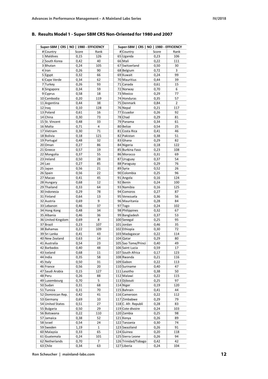## **B. Results Model 1 - Super SBM CRS Non-Oriented for 1980 and 2007**

| Super-SBM   CRS   NO   1980 - EFFICIENCY |       |        | Super-SBM   CRS   NO   1980 - EFFICIENCY |       |                |
|------------------------------------------|-------|--------|------------------------------------------|-------|----------------|
| # Country                                | Score | Rank   | # Country                                | Score | Rank           |
| 1 Maldives                               | 0,15  | 126    | 65 Uganda                                | 0,23  | 106            |
| 2 South Korea                            | 0,42  | 40     | 66 Mali                                  | 0,22  | 111            |
| 3Bhutan                                  | 0,24  | 105    | 67 Switzerland                           | 0,50  | 30             |
| 4 Iran                                   | 0,26  | 90     | 68 Belgium                               | 0,72  | 3              |
| $5$ Egypt                                | 0,32  | 66     | 69 Kuwait                                | 0,24  | 99             |
| 6 Cape Verde                             | 0,34  | 62     | 70 Mauritius                             | 0,44  | 39             |
|                                          |       |        |                                          |       |                |
| 7 Turkey                                 | 0,26  | 93     | 71 Canada                                | 0,61  | 15             |
| 8 Singapore                              | 0,34  | 59     | 72 Norway                                | 0,70  | 6              |
| $9$ Cyprus                               | 0,58  | 18     | 73 Mexico                                | 0,29  | 77             |
| 10 Cambodia                              | 0,20  | 119    | 74 Honduras                              | 0,35  | 57             |
| 11 Argentina                             | 0,44  | 38     | 75 Denmark                               | 0,84  | $\overline{2}$ |
| $12$  Iraq                               | 0,10  | 128    | 76 Nepal                                 | 0,21  | 117            |
| 13 Poland                                | 0,61  | 16     | 77 Ecuador                               | 0,26  | 92             |
| 14 China                                 | 0,30  | 73     | 78 Chad                                  | 0,29  | 81             |
| 15 St. Vincent                           | 0,48  | 33     | 79 Panama                                | 0,34  | 61             |
|                                          |       | 4      |                                          |       |                |
| 16 Malta                                 | 0,71  |        | 80 Belize                                | 0,54  | 25             |
| 17 Vietnam                               | 0,30  | 71     | 81 Costa Rica                            | 0,41  | 46             |
| 18 Bolivia                               | 0,18  | 121    | 82 Pakistan                              | 0,38  | 51             |
| 19 Portugal                              | 0,48  | 32     | 83 Ghana                                 | 0,29  | 82             |
| 20 Oman                                  | 0,27  | 86     | 84 Nigeria                               | 0,18  | 122            |
| 21 Greece                                | 0,57  | 19     | 85 Burkina Faso                          | 0,23  | 108            |
| 22 Mongolia                              | 0,37  | 55     | 86 Morocco                               | 0,31  | 69             |
| 23 Ireland                               | 0,50  | 28     | 87 Uruguay                               | 0,37  | 54             |
| $24$ Lao                                 | 0,27  | 85     | 88 Paraguay                              |       | 76             |
|                                          |       |        |                                          | 0,29  |                |
| 25 Japan                                 | 0,56  | 21     | 89 Syria                                 | 0,52  | 26             |
| 26 Spain                                 | 0,56  | 22     | 90 Colombia                              | 0,25  | 96             |
| 27 Macao                                 | 0,41  | 45     | 91 Angola                                | 0,16  | 124            |
| 28 Hungary                               | 0,68  | 12     | 92 Benin                                 | 0,24  | 100            |
| 29 Thailand                              | 0,33  | 64     | 93 Namibia                               | 0,16  | 125            |
| 30 Indonesia                             | 0,29  | 78     | 94 Comoros                               | 0,27  | 87             |
| 31 Finland                               | 0,64  | 13     | 95 Venezuela                             | 0,36  | 56             |
| 32 Austria                               | 0,69  | 9      | 96 Mauritania                            | 0,28  | 84             |
| 33 Lebanon                               | 0,46  | 37     | 97 Togo                                  | 0,24  | 102            |
|                                          |       |        |                                          |       |                |
| 34 Hong Kong                             | 0,48  | 34     | 98 Philippines                           | 0,32  | 67             |
| 35 Albania                               | 0,46  | 36     | 99 Bangladesh                            | 0,37  | 53             |
| 36 United Kingdom                        | 0,69  | 8      | 100 Senegal                              | 0,25  | 95             |
| 37 Brazil                                | 0,23  | 107    | 101 Jordan                               | 0,46  | 35             |
| 38 Bahamas                               | 0,22  | 109    | 102 Ethiopia                             | 0,30  | 72             |
| 39 Sri Lanka                             | 0,41  | 43     | 103 Madagascar                           | 0,22  | 114            |
| 40 New Zealand                           | 0,63  | 14     | 104 Qatar                                | 0,29  | 80             |
| 41 Australia                             | 0,54  | 23     | 105 Sao Tome/Princi                      | 0,40  | 49             |
| 42 Barbados                              | 0,40  | 48     | 106 Saint Lucia                          | 0,59  | 17             |
|                                          |       |        |                                          |       |                |
| 43 Iceland                               | 0,68  | 11     | 107 South Africa                         | 0,17  | 123            |
| 44 India                                 | 0,35  | 58     | 108 Rwanda                               | 0,21  | 116            |
| 45 Italy                                 | 0,50  | 31     | 109 Gabon                                | 0,22  | 113            |
| 46 France                                | 0,56  | 20     | 110 Suriname                             | 0,40  | 47             |
| 47 Saudi Arabia                          | 0,15  | 127    | 111 Lesotho                              | 0,38  | 50             |
| 48 Peru                                  | 0,26  | 88     | 112 Malawi                               | 0,22  | 115            |
| 49 Luxembourg                            | 0,70  | 5      | 113 Djibouti                             | 0,25  | 97             |
| 50 Sudan                                 | 0,31  | 68     | 114 Niger                                | 0,19  | 120            |
|                                          |       | 70     | 115 Bahrain                              |       | 44             |
| 51 Tunisia                               | 0,31  |        |                                          | 0,41  |                |
| 52 Dominican Rep.                        | 0,42  | 41     | 116 Cameroon                             | 0,22  | 112            |
| 53 Germany                               | 0,69  | $10\,$ | 117 Zimbabwe                             | 0,29  | 79             |
| 54 United States                         | 0,51  | 27     | 118 C. Afr. Republi                      | 0,28  | 83             |
| 55 Bulgaria                              | 0,50  | 29     | 119 Cote divoire                         | 0,24  | 103            |
| 56 Botswana                              | 0,22  | 110    | 120 Zambia                               | 0,25  | 98             |
| 57 Jamaica                               | 0,38  | 52     | 121 Kenya                                | 0,26  | 89             |
| 58 Israel                                | 0,54  | 24     | 122 Tanzania                             | 0,30  | 74             |
|                                          |       |        |                                          |       |                |
| 59 Sweden                                | 1,19  | 1      | 123 Swaziland                            | 0,26  | 91             |
| 60 Malaysia                              | 0,33  | 65     | 124 Guinea                               | 0,20  | 118            |
| 61 Guatemala                             | 0,24  | 101    | 125 Sierra Leone                         | 0,26  | 94             |
| 62 Netherlands                           | 0,70  | 7      | 126 Trinidad/Tobago                      | 0,42  | 42             |
| 63 Chile                                 | 0,34  | 63     | 127 Liberia                              | 0,24  | 104            |
|                                          |       |        |                                          |       |                |

**Ron Scheucher | mainland-labs.com 12**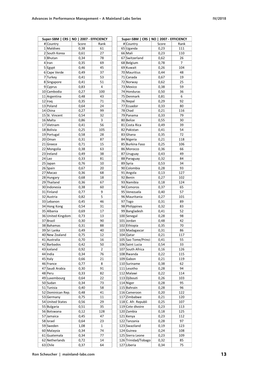| Super-SBM   CRS   NO   2007 - EFFICIENCY |       |      | Super-SBM   CRS   NO   2007 - EFFICIENCY |       |      |
|------------------------------------------|-------|------|------------------------------------------|-------|------|
| # Country                                | Score | Rank | # Country                                | Score | Rank |
| 1 Maldives                               | 0,38  | 61   | 65 Uganda                                | 0,23  | 111  |
| 2 South Korea                            | 0,61  | 27   | 66 Mali                                  | 0,23  | 110  |
| 3Bhutan                                  | 0,34  | 78   | 67 Switzerland                           | 0,62  | 26   |
| $4$  Iran                                | 0,35  | 69   | 68 Belgium                               | 0,78  | 7    |
| $5$ Egypt                                | 0,46  | 45   | 69 Kuwait                                | 0,26  | 104  |
| 6 Cape Verde                             | 0,49  | 37   | 70 Mauritius                             | 0,44  | 48   |
| 7 Turkey                                 | 0,41  | 53   | 71 Canada                                | 0,67  | 19   |
| 8 Singapore                              | 0,41  | 51   | 72 Norway                                | 0,62  | 25   |
| $9$ Cyprus                               | 0,83  | 4    | 73 Mexico                                | 0,38  | 59   |
| 10 Cambodia                              | 0,27  | 100  | 74 Honduras                              | 0,50  | 36   |
| 11 Argentina                             | 0,48  | 43   | 75 Denmark                               | 0,81  | 6    |
|                                          |       | 71   | 76 Nepal                                 | 0,29  | 92   |
| $12$ Iraq<br>13 Poland                   | 0,35  | 24   |                                          |       |      |
|                                          | 0,64  |      | 77 Ecuador                               | 0,33  | 80   |
| 14 China                                 | 0,27  | 99   | 78 Chad                                  | 0,21  | 116  |
| 15 St. Vincent                           | 0,54  | 32   | 79 Panama                                | 0,33  | 79   |
| 16 Malta                                 | 0,86  | 3    | 80 Belize                                | 0,55  | 30   |
| 17 Vietnam                               | 0,41  | 56   | 81 Costa Rica                            | 0,49  | 39   |
| 18 Bolivia                               | 0,25  | 105  | 82 Pakistan                              | 0,41  | 54   |
| 19 Portugal                              | 0,58  | 28   | 83 Ghana                                 | 0,35  | 72   |
| 20 Oman                                  | 0,31  | 87   | 84 Nigeria                               | 0,21  | 118  |
| 21 Greece                                | 0,71  | 15   | 85 Burkina Faso                          | 0,25  | 106  |
| 22 Mongolia                              | 0,38  | 63   | 86 Morocco                               | 0,36  | 66   |
| 23 Ireland                               | 0,49  | 38   | 87 Uruguay                               | 0,43  | 49   |
| $24$ Lao                                 | 0,33  | 81   | 88 Paraguay                              | 0,32  | 84   |
| 25 Japan                                 | 0,76  | 10   | 89 Syria                                 | 0,53  | 34   |
| 26 Spain                                 | 0,67  | 20   | 90 Colombia                              | 0,28  | 93   |
|                                          |       |      |                                          |       |      |
| 27 Macao                                 | 0,36  | 68   | 91 Angola                                | 0,13  | 127  |
| 28 Hungary                               | 0,68  | 18   | 92 Benin                                 | 0,27  | 102  |
| 29 Thailand                              | 0,36  | 67   | 93 Namibia                               | 0,18  | 124  |
| 30 Indonesia                             | 0,38  | 60   | 94 Comoros                               | 0,37  | 65   |
| 31 Finland                               | 0,77  | 9    | 95 Venezuela                             | 0,40  | 57   |
| 32 Austria                               | 0,82  | 5    | 96 Mauritania                            | 0,27  | 101  |
| 33 Lebanon                               | 0,45  | 46   | 97 Togo                                  | 0,31  | 89   |
| 34 Hong Kong                             | 0,54  | 31   | 98 Philippines                           | 0,32  | 83   |
| 35 Albania                               | 0,69  | 17   | 99 Bangladesh                            | 0,41  | 52   |
| 36 United Kingdom                        | 0,73  | 13   | 100 Senegal                              | 0,28  | 98   |
| 37 Brazil                                | 0,30  | 90   | 101 Jordan                               | 0,48  | 42   |
| 38 Bahamas                               | 0,31  | 88   | 102 Ethiopia                             | 0,35  | 70   |
| 39 Sri Lanka                             | 0,49  | 40   | 103 Madagascar                           | 0,31  | 86   |
| 40 New Zealand                           | 0,75  | 12   | 104 Qatar                                | 0,21  | 117  |
| 41 Australia                             | 0,70  |      | 105 Sao Tome/Princi                      | 0,41  |      |
|                                          |       | 16   |                                          |       | 55   |
| 42 Barbados                              | 0,42  | 50   | 106 Saint Lucia                          | 0,54  | 33   |
| 43 Iceland                               | 0,92  | 2    | 107 South Africa                         | 0,16  | 126  |
| 44 India                                 | 0,34  | 76   | 108 Rwanda                               | 0,22  | 115  |
| 45 Italy                                 | 0,66  | 21   | 109 Gabon                                | 0,21  | 119  |
| 46 France                                | 0,77  | 8    | 110 Suriname                             | 0,38  | 62   |
| 47 Saudi Arabia                          | 0,30  | 91   | 111 Lesotho                              | 0,28  | 94   |
| 48 Peru                                  | 0,33  | 82   | 112 Malawi                               | 0,22  | 114  |
| 49 Luxembourg                            | 0,64  | 22   | 113 Djibouti                             | 0,26  | 103  |
| 50 Sudan                                 | 0,34  | 73   | 114 Niger                                | 0,28  | 95   |
| 51 Tunisia                               | 0,40  | 58   | 115 Bahrain                              | 0,28  | 96   |
| 52 Dominican Rep.                        | 0,48  | 41   | 116 Cameroon                             | 0,20  | 122  |
| 53 Germany                               | 0,75  | 11   | 117 Zimbabwe                             | 0,21  | 120  |
| 54 United States                         | 0,56  | 29   | 118 C. Afr. Republi                      | 0,25  | 107  |
| 55 Bulgaria                              | 0,51  | 35   | 119 Cote divoire                         | 0,23  |      |
|                                          |       |      |                                          |       | 113  |
| 56 Botswana                              | 0,12  | 128  | 120 Zambia                               | 0,18  | 125  |
| 57 Jamaica                               | 0,45  | 47   | 121 Kenya                                | 0,23  | 112  |
| 58 Israel                                | 0,64  | 23   | 122 Tanzania                             | 0,28  | 97   |
| 59 Sweden                                | 1,08  | 1    | 123 Swaziland                            | 0,19  | 123  |
| 60 Malaysia                              | 0,34  | 74   | 124 Guinea                               | 0,24  | 108  |
| 61 Guatemala                             | 0,34  | 77   | 125 Sierra Leone                         | 0,23  | 109  |
| 62 Netherlands                           | 0,72  | 14   | 126 Trinidad/Tobago                      | 0,32  | 85   |
| 63 Chile                                 | 0,37  | 64   | 127 Liberia                              | 0,34  | 75   |
|                                          |       |      |                                          |       |      |

| Super-SBM   CRS   NO   2007 - EFFICIENCY |              |           |
|------------------------------------------|--------------|-----------|
| # Country                                | Score        | Rank      |
| 65 Uganda                                | 0,23         | 111       |
| 66 Mali                                  | 0,23         | 110       |
| 67 Switzerland                           | 0,62         | 26        |
| 68 Belgium                               | 0,78         | 7         |
| 69 Kuwait                                | 0,26         | 104       |
| 70 Mauritius                             | 0,44         | 48        |
| 71 Canada                                | 0,67         | 19        |
| 72 Norway                                | 0,62         | 25        |
| 73 Mexico                                | 0,38         | 59        |
| 74 Honduras                              | 0,50         | 36        |
| 75 Denmark                               | 0,81         | 6         |
| 76 Nepal                                 | 0,29         | 92        |
| 77 Ecuador                               | 0,33         | 80        |
| 78 Chad                                  | 0,21         | 116       |
| 79 Panama                                | 0,33         | 79        |
| 80 Belize                                | 0,55         | 30        |
| 81 Costa Rica                            | 0,49         | 39        |
| 82 Pakistan                              | 0,41         | 54        |
| 83 Ghana                                 | 0,35         | 72        |
| 84 Nigeria                               | 0,21         | 118       |
| 85 Burkina Faso                          | 0,25         | 106       |
| 86 Morocco                               | 0,36         | 66        |
| 87 Uruguay                               | 0,43         | 49        |
| 88 Paraguay                              | 0,32         | 84        |
| 89 Syria                                 | 0,53         | 34        |
| 90 Colombia                              | 0,28         | 93        |
| 91 Angola                                | 0,13         | 127       |
| 92 Benin                                 | 0,27         | 102       |
| 93 Namibia                               | 0,18         | 124       |
| 94 Comoros                               | 0,37         | 65        |
| 95 Venezuela                             | 0,40         | 57        |
| 96 Mauritania                            | 0,27         | 101       |
| 97 Togo                                  | 0,31         | 89        |
| 98 Philippines                           | 0,32         | 83        |
| 99 Bangladesh                            | 0,41         | 52        |
| 100 Senegal                              | 0,28         | 98        |
| 101 Jordan                               | 0,48         | 42        |
| 102 Ethiopia                             | 0,35         | 70        |
| 103 Madagascar                           | 0,31         | 86        |
| 104 Qatar                                | 0,21         | 117       |
| 105 Sao Tome/Princi                      | 0,41         | 55        |
| 106 Saint Lucia                          | 0,54         | 33        |
| 107 South Africa                         | 0,16         | 126       |
| 108 Rwanda                               | 0,22         | 115       |
| 109 Gabon                                | 0,21         | 119<br>62 |
| 110 Suriname                             | 0,38         |           |
| 111 Lesotho                              | 0,28         | 94        |
| 112 Malawi                               | 0,22         | 114       |
| 113 Djibouti<br>114 Niger                | 0,26         | 103<br>95 |
| 115 Bahrain                              | 0,28         | 96        |
| 116 Cameroon                             | 0,28         | 122       |
| 117 Zimbabwe                             | 0,20         | 120       |
| 118 C. Afr. Republi                      | 0,21<br>0,25 | 107       |
| 119 Cote divoire                         | 0,23         | 113       |
| 120 Zambia                               |              | 125       |
|                                          | 0,18         |           |
| 121 Kenya<br>122 Tanzania                | 0,23         | 112<br>97 |
| 123 Swaziland                            | 0,28<br>0,19 | 123       |
| 124 Guinea                               | 0,24         | 108       |
| 125 Sierra Leone                         | 0,23         | 109       |
| 126 Trinidad/Tobago                      | 0,32         | 85        |
| 127 Liberia                              | 0,34         | 75        |
|                                          |              |           |

**Ron Scheucher | mainland-labs.com 13**